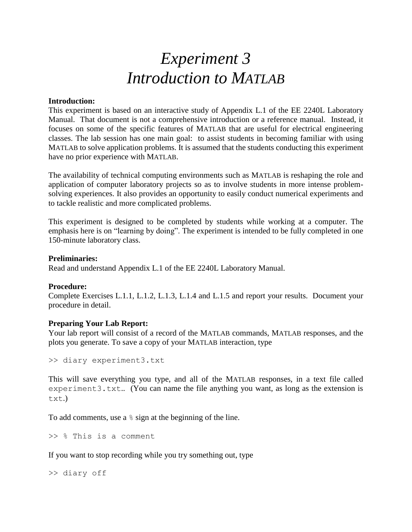# *Experiment 3 Introduction to MATLAB*

### **Introduction:**

This experiment is based on an interactive study of Appendix L.1 of the EE 2240L Laboratory Manual. That document is not a comprehensive introduction or a reference manual. Instead, it focuses on some of the specific features of MATLAB that are useful for electrical engineering classes. The lab session has one main goal: to assist students in becoming familiar with using MATLAB to solve application problems. It is assumed that the students conducting this experiment have no prior experience with MATLAB.

The availability of technical computing environments such as MATLAB is reshaping the role and application of computer laboratory projects so as to involve students in more intense problemsolving experiences. It also provides an opportunity to easily conduct numerical experiments and to tackle realistic and more complicated problems.

This experiment is designed to be completed by students while working at a computer. The emphasis here is on "learning by doing". The experiment is intended to be fully completed in one 150-minute laboratory class.

#### **Preliminaries:**

Read and understand Appendix L.1 of the EE 2240L Laboratory Manual.

## **Procedure:**

Complete Exercises L.1.1, L.1.2, L.1.3, L.1.4 and L.1.5 and report your results. Document your procedure in detail.

## **Preparing Your Lab Report:**

Your lab report will consist of a record of the MATLAB commands, MATLAB responses, and the plots you generate. To save a copy of your MATLAB interaction, type

>> diary experiment3.txt

This will save everything you type, and all of the MATLAB responses, in a text file called experiment3.txt.. (You can name the file anything you want, as long as the extension is txt.)

To add comments, use a  $\frac{1}{6}$  sign at the beginning of the line.

>> % This is a comment

If you want to stop recording while you try something out, type

>> diary off